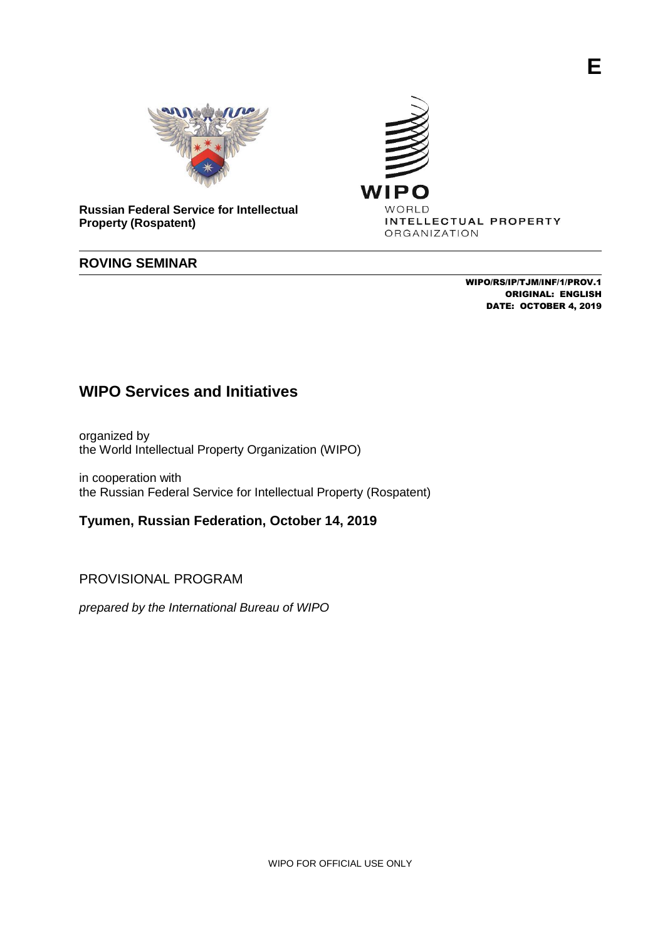

**Russian Federal Service for Intellectual Property (Rospatent)**

# **ROVING SEMINAR**

WIPO/RS/IP/TJM/INF/1/PROV.1 ORIGINAL: ENGLISH DATE: OCTOBER 4, 2019

WIPC

WORLD

ORGANIZATION

INTELLECTUAL PROPERTY

# **WIPO Services and Initiatives**

organized by the World Intellectual Property Organization (WIPO)

in cooperation with the Russian Federal Service for Intellectual Property (Rospatent)

**Tyumen, Russian Federation, October 14, 2019**

PROVISIONAL PROGRAM

*prepared by the International Bureau of WIPO*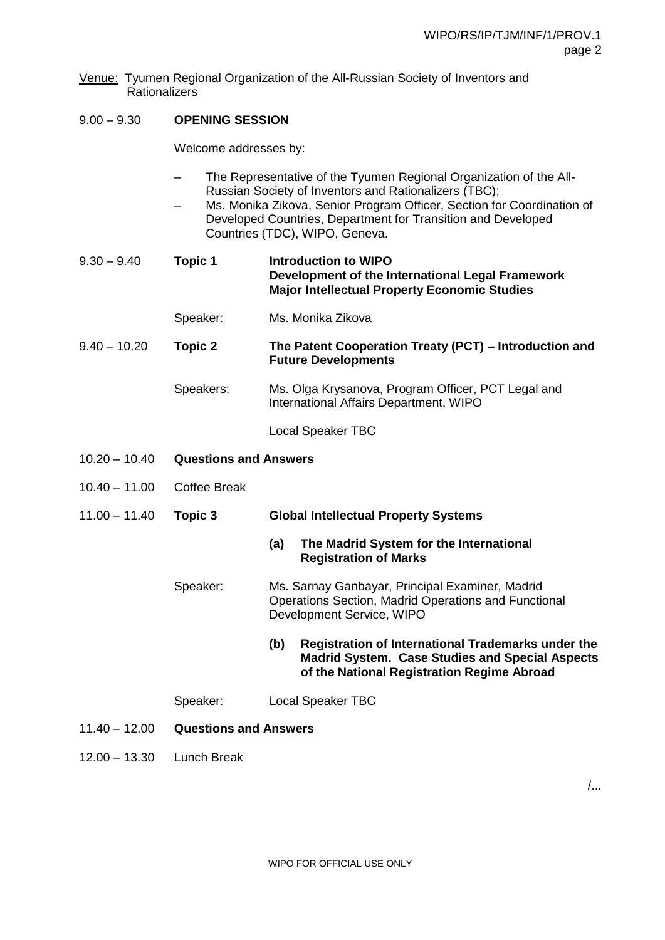Venue: Tyumen Regional Organization of the All-Russian Society of Inventors and Rationalizers

## 9.00 – 9.30 **OPENING SESSION**

Welcome addresses by:

- The Representative of the Tyumen Regional Organization of the All-Russian Society of Inventors and Rationalizers (TBC);
- Ms. Monika Zikova, Senior Program Officer, Section for Coordination of Developed Countries, Department for Transition and Developed Countries (TDC), WIPO, Geneva.
- 9.30 9.40 **Topic 1 Introduction to WIPO Development of the International Legal Framework Major Intellectual Property Economic Studies**
	- Speaker: Ms. Monika Zikova

9.40 – 10.20 **Topic 2 The Patent Cooperation Treaty (PCT) – Introduction and Future Developments**

> Speakers: Ms. Olga Krysanova, Program Officer, PCT Legal and International Affairs Department, WIPO

> > Local Speaker TBC

- 10.20 10.40 **Questions and Answers**
- 10.40 11.00 Coffee Break

11.00 – 11.40 **Topic 3 Global Intellectual Property Systems**

#### **(a) The Madrid System for the International Registration of Marks**

Speaker: Ms. Sarnay Ganbayar, Principal Examiner, Madrid Operations Section, Madrid Operations and Functional Development Service, WIPO

### **(b) Registration of International Trademarks under the Madrid System. Case Studies and Special Aspects of the National Registration Regime Abroad**

- Speaker: Local Speaker TBC
- 11.40 12.00 **Questions and Answers**
- 12.00 13.30 Lunch Break